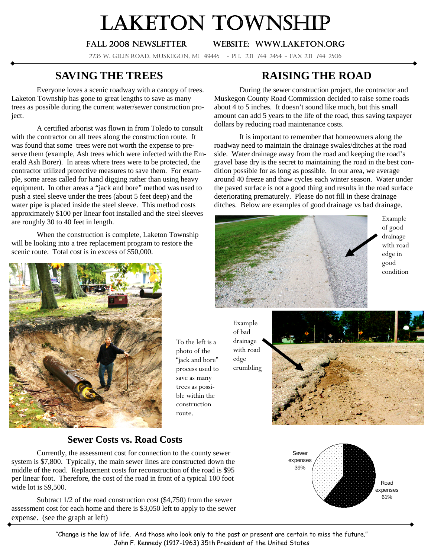# LAKETON TOWNSHIP

#### Fall 2008 newsletter Website: www.laketon.org

2735 W. Giles Road, Muskegon, MI 49445 ~ PH. 231-744-2454 ~ Fax 231-744-2506

### **SAVING THE TREES**

Everyone loves a scenic roadway with a canopy of trees. Laketon Township has gone to great lengths to save as many trees as possible during the current water/sewer construction project.

A certified arborist was flown in from Toledo to consult with the contractor on all trees along the construction route. It was found that some trees were not worth the expense to preserve them (example, Ash trees which were infected with the Emerald Ash Borer). In areas where trees were to be protected, the contractor utilized protective measures to save them. For example, some areas called for hand digging rather than using heavy equipment. In other areas a "jack and bore" method was used to push a steel sleeve under the trees (about 5 feet deep) and the water pipe is placed inside the steel sleeve. This method costs approximately \$100 per linear foot installed and the steel sleeves are roughly 30 to 40 feet in length.

When the construction is complete, Laketon Township will be looking into a tree replacement program to restore the scenic route. Total cost is in excess of \$50,000.



To the left is a photo of the "jack and bore" process used to save as many trees as possible within the construction route.

edge crumbling



#### Road expenses 61% Sewer expenses 39%

## **RAISING THE ROAD**

During the sewer construction project, the contractor and Muskegon County Road Commission decided to raise some roads about 4 to 5 inches. It doesn't sound like much, but this small amount can add 5 years to the life of the road, thus saving taxpayer dollars by reducing road maintenance costs.

It is important to remember that homeowners along the roadway need to maintain the drainage swales/ditches at the road side. Water drainage away from the road and keeping the road's gravel base dry is the secret to maintaining the road in the best condition possible for as long as possible. In our area, we average around 40 freeze and thaw cycles each winter season. Water under the paved surface is not a good thing and results in the road surface deteriorating prematurely. Please do not fill in these drainage ditches. Below are examples of good drainage vs bad drainage.



Example of good drainage with road edge in good condition

Example of bad drainage with road

**Sewer Costs vs. Road Costs**

Currently, the assessment cost for connection to the county sewer system is \$7,800. Typically, the main sewer lines are constructed down the middle of the road. Replacement costs for reconstruction of the road is \$95 per linear foot. Therefore, the cost of the road in front of a typical 100 foot wide lot is \$9,500.

Subtract 1/2 of the road construction cost (\$4,750) from the sewer assessment cost for each home and there is \$3,050 left to apply to the sewer expense. (see the graph at left)

> "Change is the law of life. And those who look only to the past or present are certain to miss the future." John F. Kennedy (1917-1963) 35th President of the United States